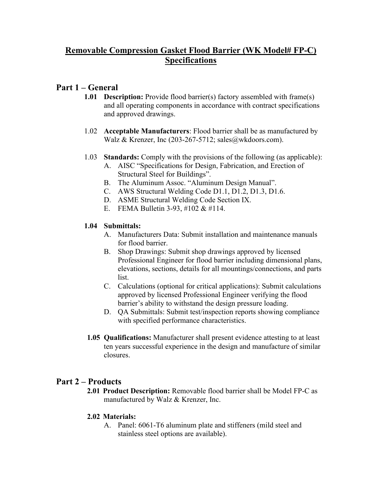# **Removable Compression Gasket Flood Barrier (WK Model# FP-C) Specifications**

## **Part 1 – General**

- **1.01 Description:** Provide flood barrier(s) factory assembled with frame(s) and all operating components in accordance with contract specifications and approved drawings.
- 1.02 **Acceptable Manufacturers**: Flood barrier shall be as manufactured by Walz & Krenzer, Inc (203-267-5712; sales@wkdoors.com).
- 1.03 **Standards:** Comply with the provisions of the following (as applicable):
	- A. AISC "Specifications for Design, Fabrication, and Erection of Structural Steel for Buildings".
	- B. The Aluminum Assoc. "Aluminum Design Manual".
	- C. AWS Structural Welding Code D1.1, D1.2, D1.3, D1.6.
	- D. ASME Structural Welding Code Section IX.
	- E. FEMA Bulletin 3-93, #102 & #114.

### **1.04 Submittals:**

- A. Manufacturers Data: Submit installation and maintenance manuals for flood barrier.
- B. Shop Drawings: Submit shop drawings approved by licensed Professional Engineer for flood barrier including dimensional plans, elevations, sections, details for all mountings/connections, and parts list.
- C. Calculations (optional for critical applications): Submit calculations approved by licensed Professional Engineer verifying the flood barrier's ability to withstand the design pressure loading.
- D. QA Submittals: Submit test/inspection reports showing compliance with specified performance characteristics.
- **1.05 Qualifications:** Manufacturer shall present evidence attesting to at least ten years successful experience in the design and manufacture of similar closures.

## **Part 2 – Products**

**2.01 Product Description:** Removable flood barrier shall be Model FP-C as manufactured by Walz & Krenzer, Inc.

### **2.02 Materials:**

A. Panel: 6061-T6 aluminum plate and stiffeners (mild steel and stainless steel options are available).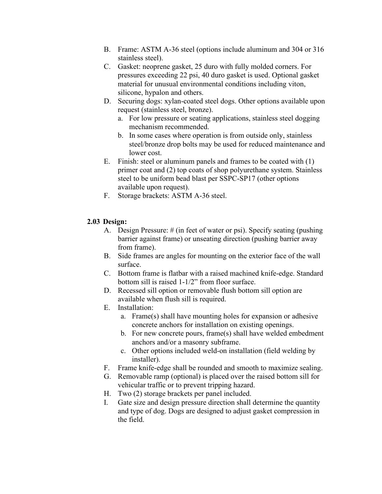- B. Frame: ASTM A-36 steel (options include aluminum and 304 or 316 stainless steel).
- C. Gasket: neoprene gasket, 25 duro with fully molded corners. For pressures exceeding 22 psi, 40 duro gasket is used. Optional gasket material for unusual environmental conditions including viton, silicone, hypalon and others.
- D. Securing dogs: xylan-coated steel dogs. Other options available upon request (stainless steel, bronze).
	- a. For low pressure or seating applications, stainless steel dogging mechanism recommended.
	- b. In some cases where operation is from outside only, stainless steel/bronze drop bolts may be used for reduced maintenance and lower cost.
- E. Finish: steel or aluminum panels and frames to be coated with (1) primer coat and (2) top coats of shop polyurethane system. Stainless steel to be uniform bead blast per SSPC-SP17 (other options available upon request).
- F. Storage brackets: ASTM A-36 steel.

### **2.03 Design:**

- A. Design Pressure: # (in feet of water or psi). Specify seating (pushing barrier against frame) or unseating direction (pushing barrier away from frame).
- B. Side frames are angles for mounting on the exterior face of the wall surface.
- C. Bottom frame is flatbar with a raised machined knife-edge. Standard bottom sill is raised 1-1/2" from floor surface.
- D. Recessed sill option or removable flush bottom sill option are available when flush sill is required.
- E. Installation:
	- a. Frame(s) shall have mounting holes for expansion or adhesive concrete anchors for installation on existing openings.
	- b. For new concrete pours, frame(s) shall have welded embedment anchors and/or a masonry subframe.
	- c. Other options included weld-on installation (field welding by installer).
- F. Frame knife-edge shall be rounded and smooth to maximize sealing.
- G. Removable ramp (optional) is placed over the raised bottom sill for vehicular traffic or to prevent tripping hazard.
- H. Two (2) storage brackets per panel included.
- I. Gate size and design pressure direction shall determine the quantity and type of dog. Dogs are designed to adjust gasket compression in the field.